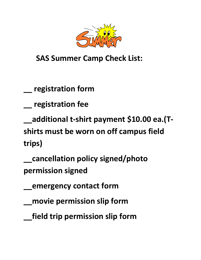

 **SAS Summer Camp Check List:**

**\_\_ registration form**

**\_\_ registration fee**

**\_\_additional t-shirt payment \$10.00 ea.(Tshirts must be worn on off campus field trips)**

**\_\_cancellation policy signed/photo permission signed**

**\_\_emergency contact form**

**\_\_movie permission slip form**

**\_\_field trip permission slip form**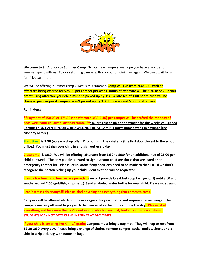

**Welcome to St. Alphonsus Summer Camp. T**o our new campers, we hope you have a wonderful summer spent with us. To our returning campers, thank you for joining us again. We can't wait for a fun filled summer!

We will be offering summer camp 7 weeks this summer. **Camp will run from 7:30-3:30 with an aftercare being offered for \$25.00 per camper per week. Hours of aftercare will be 3:30 to 5:30. If you aren't using aftercare your child must be picked up by 3:30. A late fee of 1.00 per minute will be changed per camper if campers aren't picked up by 3:30 for camp and 5:30 for aftercare.**

#### **Reminders:**

**\*\*Payment of 150.00 or 175.00 (for aftercare 3:30-5:30) per camper will be drafted the Monday of each week your child(ren) attends camp. \*\*You are responsible for payment for the weeks you signed up your child, EVEN IF YOUR CHILD WILL NOT BE AT CAMP. I must know a week in advance (the Monday before)** 

**Start time: is 7:30 (no early drop offs). Drop off is in the cafeteria (the first door closest to the school office.) You must sign your child in and sign out every day.**

**Close time: is 3:30. We will be offering aftercare from 3:30 to 5:30 for an additional fee of 25.00 per child per week. The only people allowed to sign out your child are those that are listed on the emergency contact list. Please let us know if any additions need to be made to that list. If we don't recognize the person picking up your child, identification will be requested.**

**Bring a box lunch (no lunches are provided) we will provide breakfast (pop tart, go gurt) until 8:00 and snacks around 2:00 (goldfish, chips, etc.) Send a labeled water bottle for your child. Please no straws.**

**I can't stress this enough!!! Please label anything and everything that comes to camp.**

**Campers will be allowed electronic devices again this year that do not require internet usage. The campers are only allowed to play with the devices at certain times during the day. Please label everything and be aware that we're not responsible for any lost, broken, or misplaced items. STUDENTS MAY NOT ACCESS THE INTERNET AT ANY TIME!**

**If your child is entering Pre K4 – 1 st grade: Campers must bring a nap mat. They will nap or rest from 12:30-2:30 every day. Please bring a change of clothes for your camper- socks, undies, shorts and a shirt in a zip lock bag with name on bag.**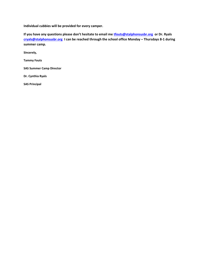**Individual cubbies will be provided for every camper.**

**If you have any questions please don't hesitate to email me [tfouts@stalphonsusbr.org](mailto:tfouts@stalphonsusbr.org) or Dr. Ryals [cryals@stalphonsusbr.org](mailto:cryals@stalphonsusbr.org) I can be reached through the school office Monday – Thursdays 8-1 during summer camp.**

**Sincerely,**

**Tammy Fouts**

**SAS Summer Camp Director**

**Dr. Cynthia Ryals**

**SAS Principal**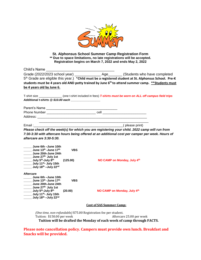

#### **St. Alphonsus School Summer Camp Registration Form \*\* Due to space limitations, no late registrations will be accepted. Registration begins on March 7, 2022 and ends May 2, 2022**

| Child's Name                                                                      |            |                                 |                                                                                                               |
|-----------------------------------------------------------------------------------|------------|---------------------------------|---------------------------------------------------------------------------------------------------------------|
|                                                                                   |            |                                 |                                                                                                               |
|                                                                                   |            |                                 | 5th Grade are eligible this year.) *Child must be a registered student at St. Alphonsus School. Pre-K         |
|                                                                                   |            |                                 | students must be 4 years old AND potty trained by June 6 <sup>th</sup> to attend summer camp. **Students must |
| be 4 years old by June 6.                                                         |            |                                 |                                                                                                               |
|                                                                                   |            |                                 |                                                                                                               |
|                                                                                   |            |                                 | T-shirt size ______________(one t-shirt included in fees) T-shirts must be worn on ALL off campus field trips |
| Additional t-shirts @ \$10.00 each ________________                               |            |                                 |                                                                                                               |
|                                                                                   |            |                                 |                                                                                                               |
|                                                                                   |            |                                 |                                                                                                               |
|                                                                                   |            |                                 |                                                                                                               |
|                                                                                   |            |                                 |                                                                                                               |
|                                                                                   |            |                                 |                                                                                                               |
|                                                                                   |            |                                 | Please check off the week(s) for which you are registering your child. 2022 camp will run from                |
|                                                                                   |            |                                 | 7:30-3:30 with aftercare hours being offered at an additional cost per camper per week. Hours of              |
| aftercare are 3:30-5:30.                                                          |            |                                 |                                                                                                               |
|                                                                                   |            |                                 |                                                                                                               |
| June 6th -June 10th                                                               |            |                                 |                                                                                                               |
| June 13th -June 17th                                                              | <b>VBS</b> |                                 |                                                                                                               |
| June 20th-June 24th                                                               |            |                                 |                                                                                                               |
| June 27 <sup>th-</sup> July 1st                                                   |            |                                 |                                                                                                               |
| July 5 <sup>th</sup> -July 8 <sup>th</sup>                                        | (125.00)   |                                 | NO CAMP on Monday, July 4th                                                                                   |
| $\frac{1}{2}$ July 11 <sup>th</sup> - July 15th<br>July $18^{th}$ –July $22^{nd}$ |            |                                 |                                                                                                               |
|                                                                                   |            |                                 |                                                                                                               |
| <b>Aftercare</b>                                                                  |            |                                 |                                                                                                               |
| June 6th -June 10th                                                               |            |                                 |                                                                                                               |
| June 13th -June 17th                                                              | <b>VBS</b> |                                 |                                                                                                               |
| June 20th-June 24th                                                               |            |                                 |                                                                                                               |
| June 27 <sup>th-</sup> July 1st                                                   |            |                                 |                                                                                                               |
| <b>______ July 5<sup>th</sup>-July 8<sup>th</sup></b>                             | (20.00)    |                                 | NO CAMP on Monday, July 4th                                                                                   |
| July 11 <sup>th</sup> - July 15th                                                 |            |                                 |                                                                                                               |
| $\frac{1}{2}$ July 18 <sup>th</sup> - July 22 <sup>nd</sup>                       |            |                                 |                                                                                                               |
|                                                                                   |            | <b>Cost of SAS Summer Camp:</b> |                                                                                                               |
|                                                                                   |            |                                 |                                                                                                               |

*(One time, non-refundable)* \$75.00 Registration fee per student. Tuition: \$150.00 per week Aftercare 25.00 per week **Tuition will be drafted the Monday of each week of camp through FACTS.**

**Please note cancellation policy. Campers must provide own lunch. Breakfast and Snacks will be provided.**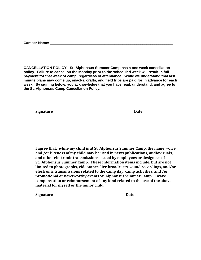|  | <b>Camper Name:</b> |  |
|--|---------------------|--|
|  |                     |  |

**CANCELLATION POLICY: St. Alphonsus Summer Camp has a one week cancellation policy. Failure to cancel on the Monday prior to the scheduled week will result in full payment for that week of camp, regardless of attendance. While we understand that last minute plans may come up, snacks, crafts, and field trips are paid for in advance for each week. By signing below, you acknowledge that you have read, understand, and agree to the St. Alphonsus Camp Cancellation Policy.**

| Signature<br>Jote |
|-------------------|
|-------------------|

**I agree that, while my child is at St. Alphonsus Summer Camp, the name, voice and /or likeness of my child may be used in news publications, audiovisuals, and other electronic transmissions issued by employees or designees of St. Alphonsus Summer Camp. These information items include, but are not limited to photographs, videotapes, live broadcasts, sound recordings, and/or electronic transmissions related to the camp day, camp activities, and /or promotional or newsworthy events St. Alphonsus Summer Camp. I wave compensation or reimbursement of any kind related to the use of the above material for myself or the minor child.**

| <b>Signature</b> |  |
|------------------|--|
|------------------|--|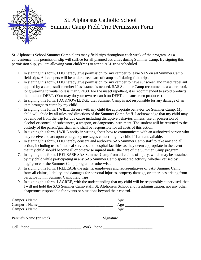

### St. Alphonsus Catholic School Summer Camp Field Trip Permission Form

St. Alphonsus School Summer Camp plans many field trips throughout each week of the program. As a convenience, this permission slip will suffice for all planned activities during Summer Camp. By signing this permission slip, you are allowing your child(ren) to attend ALL trips scheduled.

- 1. In signing this form, I DO hereby give permission for my camper to leave SAS on all Summer Camp field trips. All campers will be under direct care of camp staff during field trips.
- 2. In signing this form, I DO hereby give permission for my camper to have sunscreen and insect repellant applied by a camp staff member if assistance is needed. SAS Summer Camp recommends a waterproof, long wearing formula no less than SPF30. For the insect repellant, it is recommended to avoid products that include DEET. (You may do your own research on DEET and sunscreen products.)
- 3. In signing this form, I ACKNOWLEDGE that Summer Camp is not responsible for any damage of an item brought to camp by my child.
- 4. In signing this form, I WILL, discuss with my child the appropriate behavior for Summer Camp. My child will abide by all rules and directions of the Summer Camp Staff. I acknowledge that my child may be removed from the trip for due cause including disruptive behavior, illness, use or possession of alcohol or controlled substances, a weapon, or dangerous instrument. The student will be returned to the custody of the parent/guardian who shall be responsible for all costs of this action.
- 5. In signing this form, I WILL notify in writing about how to communicate with an authorized person who may receive and act upon emergency messages concerning my child if I am unavailable.
- 6. In signing this form, I DO hereby consent and authorize SAS Summer Camp staff to take any and all action, including use of medical services and hospital facilities as they deem appropriate in the event that my child should become ill or otherwise injured under the care of the Summer Camp program.
- 7. In signing this form, I RELEASE SAS Summer Camp from all claims of injury, which may be sustained by my child while participating in any SAS Summer Camp sponsored activity, whether caused by negligence of the Summer Camp program or otherwise.
- 8. In signing this form, I RELEASE the agents, employees and representatives of SAS Summer Camp, from all claims, liability, and damages for personal injuries, property damage, or other loss arising from participation in Summer Camp field trips.
- 9. In signing this form, I AGREE, with the understanding that my child will be responsibly supervised, that I will not hold the SAS Summer Camp staff, St. Alphonsus School and its administration, nor any other chaperones responsible for events or situations beyond their control.

| Camper's Name           | Age        |
|-------------------------|------------|
| Camper's Name           | Age        |
| Camper's Name           | Age        |
| Parent's Name (printed) | Signature  |
| Cell Phone              | Work Phone |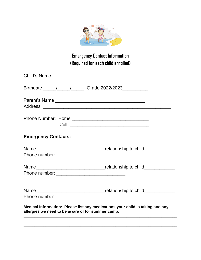

## **Emergency Contact Information (Required for each child enrolled)**

| Child's Name                                      |                                                                               |
|---------------------------------------------------|-------------------------------------------------------------------------------|
|                                                   |                                                                               |
|                                                   |                                                                               |
|                                                   |                                                                               |
| <b>Emergency Contacts:</b>                        |                                                                               |
|                                                   |                                                                               |
|                                                   |                                                                               |
|                                                   |                                                                               |
|                                                   |                                                                               |
|                                                   |                                                                               |
| allergies we need to be aware of for summer camp. | Medical Information: Please list any medications your child is taking and any |
|                                                   | <u> 1989 - Johann Stoff, amerikansk politiker (* 1908)</u>                    |
|                                                   |                                                                               |